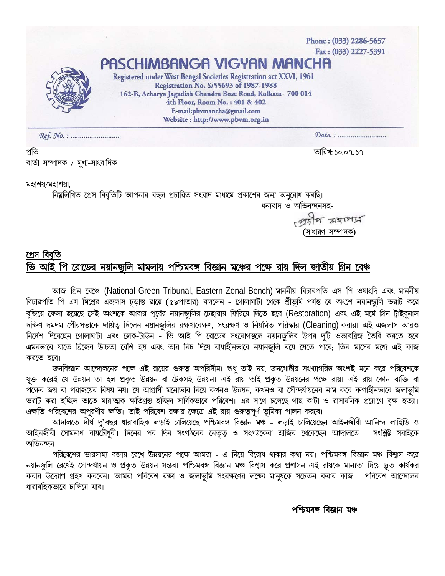Phone: (033) 2286-5657 Fax: (033) 2227-5391 PASCHIMBANGA VIGYAN MANCHA Registered under West Bengal Societies Registration act XXVI, 1961 Registration No. S/55693 of 1987-1988 162-B, Acharya Jagadish Chandra Bose Road, Kolkata - 700 014 4th Floor, Room No.: 401 & 402 E-mail:pbvmancha@gmail.com Website: http://www.pbvm.org.in 

প্রতি বাৰ্তা সম্পাদক / মুখ্য-সাংবাদিক তারিখ: ১০.০৭. ১৭

মহাশয়/মহাশয়া,

নিম্নলিখিত প্রেস বিবৃতিটি আপনার বহুল প্রচারিত সংবাদ মাধ্যমে প্রকাশের জন্য অনুরোধ করছি। ধন্যবাদ ও অভিনন্দনসহ-

> Mila samit ′সাধারণ সম্পাদক`

## প্ৰেস বিবৰ্তি পি রোডের নয়ানজুলি মামলায় পশ্চিমবঙ্গ বিজ্ঞান মঞ্চের পক্ষে রায় দিল জাতীয় গ্রিন বেঞ্চ আহ

আজ গ্রিন বেঞ্চে (National Green Tribunal, Eastern Zonal Bench) মাননীয় বিচারপতি এস পি ওয়াংদি এবং মাননীয় বিচারপতি পি এস মিশ্রের এজলাস চূড়ান্ত রায়ে (৫৯পাতার) বললেন - গোলাঘাটা থেকে শ্রীভূমি পর্যন্ত যে অংশে নয়ানজুলি ভরাট করে বুজিয়ে ফেলা হয়েছে সেই অংশকে আবার পূর্বের নয়ানজুলির চেহারায় ফিরিয়ে দিতে হবে (Restoration) এবং এই মর্মে গ্রিন ট্রাইবুনাল দক্ষিণ দমদম পৌরসভাকে দায়িতু দিলেন নয়ানজুলির রক্ষণাবেক্ষণ, সংরক্ষণ ও নিয়মিত পরিস্কার (Cleaning) করার। এই এজলাস আরও নির্দেশ দিয়েছেন গোলাঘাটা এবং লেক-টাউন - ভি আই পি রোডের সংযোগস্থলে নয়ানজুলির উপর দুটি ওভারব্রিজ তৈরি করতে হবে এমনভাবে যাতে ব্রিজের উচ্চতা বেশি হয় এবং তার নিচ দিয়ে বাধাহীনভাবে নয়ানজুলি বয়ে যেতে পারে; তিন মাসের মধ্যে এই কাজ করতে হবে।

জনবিজ্ঞান আন্দোলনের পক্ষে এই রায়ের গুরুত্ব অপরিসীম। শুধু তাই নয়, জনগোষ্ঠীর সংখ্যাগরিষ্ঠ অংশই মনে করে পরিবেশকে যুক্ত করেই যে উন্নয়ন তা হল প্রকৃত উন্নয়ন বা টেকসই উন্নয়ন। এই রায় তাই প্রকৃত উন্নয়নের পক্ষে রায়। এই রায় কোন ব্যক্তি বা পক্ষের জয় বা পরাজয়ের বিষয় নয়। যে আগ্রাসী মনোভাব নিয়ে কখনও উন্নয়ন, কখনও বা সৌন্দর্যায়নের নাম করে বল্গাহীনভাবে জলাভূমি ভরাট করা হচ্ছিল তাতে মারাত্মক ক্ষতিগ্রস্ত হচ্ছিল সার্বিকভাবে পরিবেশ। এর সাথে চলেছে গাছ কাটা ও রাসায়নিক প্রয়োগে বৃক্ষ হত্যা। এক্ষতি পরিবেশের অপূরণীয় ক্ষতি। তাই পরিবেশ রক্ষার ক্ষেত্রে এই রায় গুরুত্বপূর্ণ ভূমিকা পালন করবে।

আদালতে দীৰ্ঘ দু'বছর ধারাবাহিক লড়াই চালিয়েছে পশ্চিমবঙ্গ বিজ্ঞান মঞ্চ – লড়াই চালিয়েছেন আইনজীবী আনিন্দ লাহিড়ি ও আইনজীবী সোমনাথ রায়চৌধুরী। দিনের পর দিন সংগঠনের নেতৃত্ব ও সংগঠকেরা হাজির থেকেছেন আদালতে - সংশ্লিষ্ট সবাইকে অভিনন্দন।

পরিবেশের ভারসাম্য বজায় রেখে উন্নয়নের পক্ষে আমরা - এ নিয়ে বিরোধ থাকার কথা নয়। পশ্চিমবঙ্গ বিজ্ঞান মঞ্চ বিশ্বাস করে নয়ানজুলি রেখেই সৌন্দর্যায়ন ও প্রকৃত উন্নয়ন সম্ভব। পশ্চিমবঙ্গ বিজ্ঞান মঞ্চ বিশ্বাস করে প্রশাসন এই রায়কে মান্যতা দিয়ে দ্রুত কার্যকর করার উদ্যোগ গ্রহণ করবেন। আমরা পরিবেশ রক্ষা ও জলাভূমি সংরক্ষণের লক্ষ্যে মানুষকে সচেতন করার কাজ - পরিবেশ আন্দোলন ধারাবহিকভাবে চালিয়ে যাব।

পশ্চিমবঙ্গ বিজ্ঞান মঞ্চ